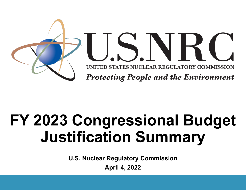

# **FY 2023 Congressional Budget Justification Summary**

**U.S. Nuclear Regulatory Commission April 4, 2022**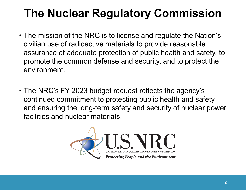## **The Nuclear Regulatory Commission**

- The mission of the NRC is to license and regulate the Nation's civilian use of radioactive materials to provide reasonable assurance of adequate protection of public health and safety, to promote the common defense and security, and to protect the environment.
- The NRC's FY 2023 budget request reflects the agency's continued commitment to protecting public health and safety and ensuring the long-term safety and security of nuclear power facilities and nuclear materials.

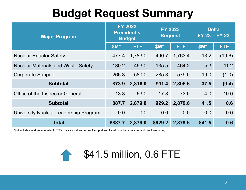## **Budget Request Summary**

| <b>Major Program</b>                      | <b>FY 2022</b><br><b>President's</b><br><b>Budget</b> |            | <b>FY 2023</b><br><b>Request</b> |            | <b>Delta</b><br>FY 23 - FY 22 |            |
|-------------------------------------------|-------------------------------------------------------|------------|----------------------------------|------------|-------------------------------|------------|
|                                           | $$M*$                                                 | <b>FTE</b> | $$M*$                            | <b>FTE</b> | $$M*$                         | <b>FTE</b> |
| <b>Nuclear Reactor Safety</b>             | 477.4                                                 | 1,783.0    | 490.7                            | 1,763.4    | 13.2                          | (19.6)     |
| <b>Nuclear Materials and Waste Safety</b> | 130.2                                                 | 453.0      | 135.5                            | 464.2      | 5.3                           | 11.2       |
| <b>Corporate Support</b>                  | 266.3                                                 | 580.0      | 285.3                            | 579.0      | 19.0                          | (1.0)      |
| <b>Subtotal</b>                           | 873.9                                                 | 2,816.0    | 911.4                            | 2,806.6    | 37.5                          | (9.4)      |
| Office of the Inspector General           | 13.8                                                  | 63.0       | 17.8                             | 73.0       | 4.0                           | 10.0       |
| <b>Subtotal</b>                           | 887.7                                                 | 2,879.0    | 929.2                            | 2,879.6    | 41.5                          | 0.6        |
| University Nuclear Leadership Program     | 0.0                                                   | 0.0        | 0.0                              | 0.0        | 0.0                           | 0.0        |
| Total                                     | \$887.7                                               | 2,879.0    | \$929.2                          | 2,879.6    | \$41.5                        | 0.6        |

\*\$M includes full-time equivalent (FTE) costs as well as contract support and travel. Numbers may not add due to rounding.



### \$41.5 million, 0.6 FTE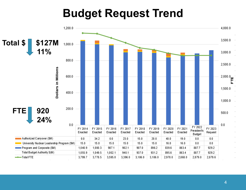### **Budget Request Trend**

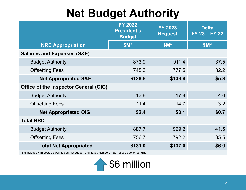## **Net Budget Authority**

|                                        | <b>FY 2022</b><br><b>President's</b><br><b>Budget</b> | <b>FY 2023</b><br><b>Request</b> | <b>Delta</b><br>FY 23 - FY 22 |  |
|----------------------------------------|-------------------------------------------------------|----------------------------------|-------------------------------|--|
| <b>NRC Appropriation</b>               | $$M*$                                                 | $$M^{\star}$$                    | $$M^*$                        |  |
| <b>Salaries and Expenses (S&amp;E)</b> |                                                       |                                  |                               |  |
| <b>Budget Authority</b>                | 873.9                                                 | 911.4                            | 37.5                          |  |
| <b>Offsetting Fees</b>                 | 745.3                                                 | 777.5                            | 32.2                          |  |
| <b>Net Appropriated S&amp;E</b>        | \$128.6                                               | \$133.9                          | \$5.3                         |  |
| Office of the Inspector General (OIG)  |                                                       |                                  |                               |  |
| <b>Budget Authority</b>                | 13.8                                                  | 17.8                             | 4.0                           |  |
| <b>Offsetting Fees</b>                 | 11.4                                                  | 14.7                             | 3.2                           |  |
| <b>Net Appropriated OIG</b>            | \$2.4                                                 | \$3.1                            | \$0.7                         |  |
| <b>Total NRC</b>                       |                                                       |                                  |                               |  |
| <b>Budget Authority</b>                | 887.7                                                 | 929.2                            | 41.5                          |  |
| <b>Offsetting Fees</b>                 | 756.7                                                 | 792.2                            | 35.5                          |  |
| <b>Total Net Appropriated</b>          | \$131.0                                               | \$137.0                          | \$6.0                         |  |

\*\$M includes FTE costs as well as contract support and travel. Numbers may not add due to rounding.

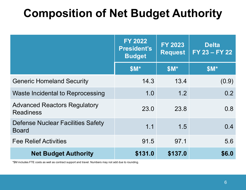## **Composition of Net Budget Authority**

|                                                          | <b>FY 2022</b><br><b>FY 2023</b><br><b>President's</b><br><b>Request</b><br><b>Budget</b> |         | <b>Delta</b><br>FY 23 - FY 22 |  |
|----------------------------------------------------------|-------------------------------------------------------------------------------------------|---------|-------------------------------|--|
|                                                          | $$M*$                                                                                     | $$M*$   | $$M^*$                        |  |
| <b>Generic Homeland Security</b>                         | 14.3                                                                                      | 13.4    | (0.9)                         |  |
| <b>Waste Incidental to Reprocessing</b>                  | 1.0                                                                                       | 1.2     | 0.2                           |  |
| <b>Advanced Reactors Regulatory</b><br><b>Readiness</b>  | 23.0                                                                                      | 23.8    | 0.8                           |  |
| <b>Defense Nuclear Facilities Safety</b><br><b>Board</b> | 1.1                                                                                       | 1.5     | 0.4                           |  |
| <b>Fee Relief Activities</b>                             | 91.5                                                                                      | 97.1    | 5.6                           |  |
| <b>Net Budget Authority</b>                              | \$131.0                                                                                   | \$137.0 | \$6.0                         |  |

\*\$M includes FTE costs as well as contract support and travel. Numbers may not add due to rounding.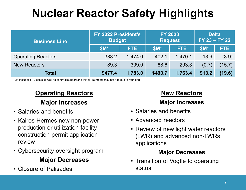## **Nuclear Reactor Safety Highlights**

| <b>Business Line</b>      | FY 2022 President's<br><b>Budget</b> |         | <b>FY 2023</b> | <b>Request</b> | <b>Delta</b><br>FY 23 - FY 22 |        |
|---------------------------|--------------------------------------|---------|----------------|----------------|-------------------------------|--------|
|                           | $$M^{\star}$$                        | FTE.    | $$M^{\star}$$  | FTE.           | $$M^{\star}$$                 | FTE.   |
| <b>Operating Reactors</b> | 388.2                                | 1,474.0 | 402.1          | 1,470.1        | 13.9                          | (3.9)  |
| <b>New Reactors</b>       | 89.3                                 | 309.0   | 88.6           | 293.3          | (0.7)                         | (15.7) |
| <b>Total</b>              | \$477.4                              | 1,783.0 | \$490.7        | 1,763.4        | \$13.2                        | (19.6) |

\*\$M includes FTE costs as well as contract support and travel. Numbers may not add due to rounding.

### **Operating Reactors Major Increases**

- Salaries and benefits
- Kairos Hermes new non-power production or utilization facility construction permit application review
- Cybersecurity oversight program **Major Decreases**
- Closure of Palisades

### **New Reactors**

### **Major Increases**

- Salaries and benefits
- Advanced reactors
- Review of new light water reactors (LWR) and advanced non-LWRs applications

### **Major Decreases**

• Transition of Vogtle to operating status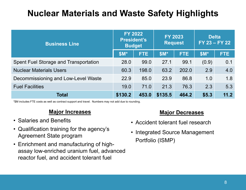### **Nuclear Materials and Waste Safety Highlights**

| <b>Business Line</b>                         | <b>FY 2022</b><br><b>President's</b><br><b>Budget</b> |       | <b>FY 2023</b><br><b>Request</b> |            | <b>Delta</b><br>FY 23 - FY 22 |            |
|----------------------------------------------|-------------------------------------------------------|-------|----------------------------------|------------|-------------------------------|------------|
|                                              | $$M^{\star}$$                                         | FTE.  | $$M^{\star}$$                    | <b>FTE</b> | $$M^*$                        | <b>FTE</b> |
| <b>Spent Fuel Storage and Transportation</b> | 28.0                                                  | 99.0  | 27.1                             | 99.1       | (0.9)                         | 0.1        |
| <b>Nuclear Materials Users</b>               | 60.3                                                  | 198.0 | 63.2                             | 202.0      | 2.9                           | 4.0        |
| Decommissioning and Low-Level Waste          | 22.9                                                  | 85.0  | 23.9                             | 86.8       | 1.0                           | 1.8        |
| <b>Fuel Facilities</b>                       | 19.0                                                  | 71.0  | 21.3                             | 76.3       | 2.3                           | 5.3        |
| <b>Total</b>                                 | \$130.2                                               | 453.0 | \$135.5                          | 464.2      | \$5.3                         | 11.2       |

\*\$M includes FTE costs as well as contract support and travel. Numbers may not add due to rounding.

#### **Major Increases**

- Salaries and Benefits
- Qualification training for the agency's Agreement State program
- Enrichment and manufacturing of highassay low-enriched uranium fuel, advanced reactor fuel, and accident tolerant fuel

#### **Major Decreases**

- Accident tolerant fuel research
- Integrated Source Management Portfolio (ISMP)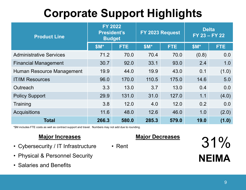## **Corporate Support Highlights**

| <b>Product Line</b>            | <b>FY 2022</b><br><b>President's</b><br><b>Budget</b> |            |       | FY 2023 Request | <b>Delta</b><br>FY 23 - FY 22 |       |  |
|--------------------------------|-------------------------------------------------------|------------|-------|-----------------|-------------------------------|-------|--|
|                                | $$M^{\star}$$                                         | <b>FTE</b> | $$M*$ | <b>FTE</b>      | $$M*$                         | FTE.  |  |
| <b>Administrative Services</b> | 71.2                                                  | 70.0       | 70.4  | 70.0            | (0.8)                         | 0.0   |  |
| <b>Financial Management</b>    | 30.7                                                  | 92.0       | 33.1  | 93.0            | 2.4                           | 1.0   |  |
| Human Resource Management      | 19.9                                                  | 44.0       | 19.9  | 43.0            | 0.1                           | (1.0) |  |
| <b>IT/IM Resources</b>         | 96.0                                                  | 170.0      | 110.5 | 175.0           | 14.6                          | 5.0   |  |
| Outreach                       | 3.3                                                   | 13.0       | 3.7   | 13.0            | 0.4                           | 0.0   |  |
| <b>Policy Support</b>          | 29.9                                                  | 131.0      | 31.0  | 127.0           | 1.1                           | (4.0) |  |
| Training                       | 3.8                                                   | 12.0       | 4.0   | 12.0            | 0.2                           | 0.0   |  |
| <b>Acquisitions</b>            | 11.6                                                  | 48.0       | 12.6  | 46.0            | 1.0                           | (2.0) |  |
| Total                          | 266.3                                                 | 580.0      | 285.3 | 579.0           | 19.0                          | (1.0) |  |

• Rent

\*\$M includes FTE costs as well as contract support and travel. Numbers may not add due to rounding.

### **Major Increases**

- Cybersecurity / IT Infrastructure
- Physical & Personnel Security
- Salaries and Benefits

### **Major Decreases**

31% **NEIMA**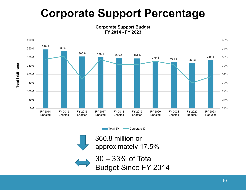## **Corporate Support Percentage**

**Corporate Support Budget FY 2014 - FY 2023**



Total \$M 

— Corporate %

\$60.8 million or approximately 17.5%



30 – 33% of Total Budget Since FY 2014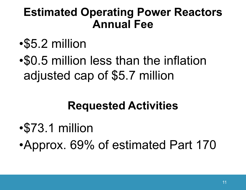### **Estimated Operating Power Reactors Annual Fee**

- •\$5.2 million
- •\$0.5 million less than the inflation adjusted cap of \$5.7 million

## **Requested Activities**

- •\$73.1 million
- •Approx. 69% of estimated Part 170